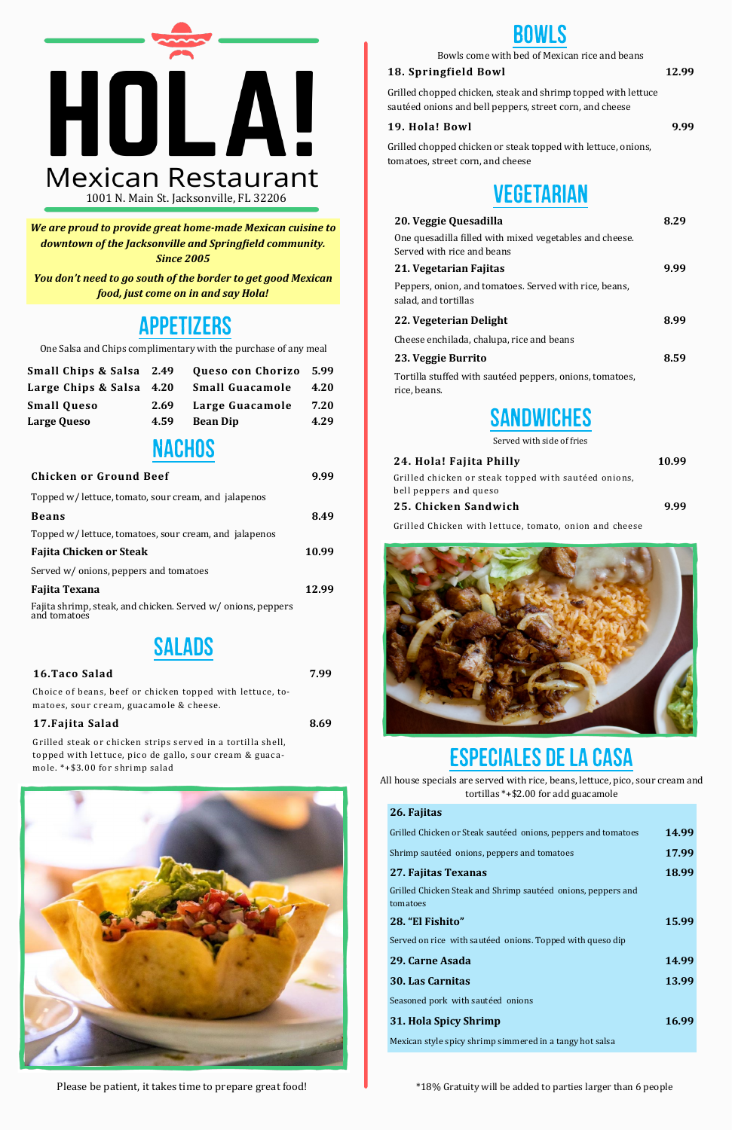One Salsa and Chips complimentary with the purchase of any meal

| <b>Chicken or Ground Beef</b>                                                | 9.99  |
|------------------------------------------------------------------------------|-------|
| Topped w/ lettuce, tomato, sour cream, and jalapenos                         |       |
| <b>Beans</b>                                                                 | 8.49  |
| Topped w/ lettuce, tomatoes, sour cream, and jalapenos                       |       |
| Fajita Chicken or Steak                                                      | 10.99 |
| Served w/ onions, peppers and tomatoes                                       |       |
| Fajita Texana                                                                | 12.99 |
| Fajita shrimp, steak, and chicken. Served w/ onions, peppers<br>and tomatoes |       |
|                                                                              |       |

## **SALADS**

Grilled chopped chicken, steak and shrimp topped with lettuce sautéed onions and bell peppers, street corn, and cheese



1001 N. Main St. Jacksonville, FL 32206

## Appetizers

| 16.Taco Salad | 7.99 |
|---------------|------|
|               |      |

Choice of beans, beef or chicken topped with lettuce, tomatoes, sour cream, guacamole & cheese.

#### **17.Fajita Salad 8.69**

Grilled steak or chicken strips served in a tortilla shell, topped with lettuce, pico de gallo, sour cream & guacamole. \*+\$3.00 for shrimp salad



## **BOWLS**

#### **18. Springfield Bowl 12.99**

#### **19. Hola! Bowl 9.99**

Grilled chopped chicken or steak topped with lettuce, onions, tomatoes, street corn, and cheese

## **VEGETARIAN**

| Grilled Chicken or Steak sautéed onions, peppers and tomatoes | 14.99 |
|---------------------------------------------------------------|-------|
| Shrimp sautéed onions, peppers and tomatoes                   | 17.99 |
| 27. Fajitas Texanas                                           | 18.99 |
| Grilled Chicken Steak and Shrimp sautéed onions, peppers and  |       |
| tomatoes                                                      |       |
| 28. "El Fishito"                                              | 15.99 |
| Served on rice with sautéed onions. Topped with queso dip     |       |
| 29. Carne Asada                                               | 14.99 |
| <b>30. Las Carnitas</b>                                       | 13.99 |
| Seasoned pork with sautéed onions                             |       |
| 31. Hola Spicy Shrimp                                         | 16.99 |
| Mexican style spicy shrimp simmered in a tangy hot salsa      |       |

Bowls come with bed of Mexican rice and beans

| 20. Veggie Quesadilla                                                          | 8.29 |
|--------------------------------------------------------------------------------|------|
| One quesadilla filled with mixed vegetables and cheese.                        |      |
| Served with rice and beans                                                     |      |
| 21. Vegetarian Fajitas                                                         | 9.99 |
| Peppers, onion, and tomatoes. Served with rice, beans,<br>salad, and tortillas |      |
| 22. Vegeterian Delight                                                         | 8.99 |
| Cheese enchilada, chalupa, rice and beans                                      |      |
| 23. Veggie Burrito                                                             | 8.59 |
| Tortilla stuffed with sautéed peppers, onions, tomatoes,<br>rice, beans.       |      |

#### **26. Fajitas**

Please be patient, it takes time to prepare great food!<br>  $\bullet$  \*18% Gratuity will be added to parties larger than 6 people

# Especiales de la casa

All house specials are served with rice, beans, lettuce, pico, sour cream and tortillas \*+\$2.00 for add guacamole



Served with side of fries

| 24. Hola! Fajita Philly                              | 10.99 |
|------------------------------------------------------|-------|
| Grilled chicken or steak topped with sautéed onions, |       |
| bell peppers and queso                               |       |
| 25. Chicken Sandwich                                 | 9.99  |

Grilled Chicken with lettuce, tomato, onion and cheese



*We are proud to provide great home-made Mexican cuisine to downtown of the Jacksonville and Springfield community. Since 2005*

| Small Chips & Salsa 2.49 |      | Queso con Chorizo 5.99 |      |
|--------------------------|------|------------------------|------|
| Large Chips & Salsa 4.20 |      | <b>Small Guacamole</b> | 4.20 |
| <b>Small Queso</b>       | 2.69 | Large Guacamole        | 7.20 |
| Large Queso              | 4.59 | <b>Bean Dip</b>        | 4.29 |

## **NACHOS**

*You don't need to go south of the border to get good Mexican food, just come on in and say Hola!*